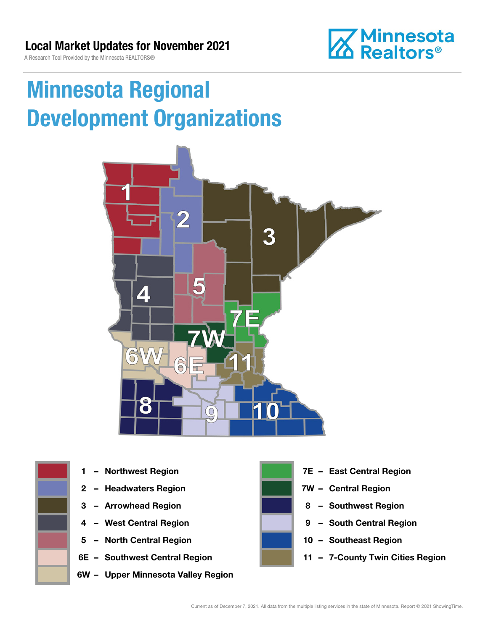**Minnesota**<br>**M** Realtors®

A Research Tool Provided by the Minnesota REALTORS®

# Minnesota Regional Development Organizations







- 2 Headwaters Region **1988 7W Central Region**
- 
- 
- 5 North Central Region 10 Southeast Region
- 
- 6W Upper Minnesota Valley Region



- 1 Northwest Region **1 1999 12 Property Contral Region** 
	-
- 3 Arrowhead Region **8 Southwest Region**
- 4 West Central Region **19 South Central Region** 
	-
- 6E Southwest Central Region 11 7-County Twin Cities Region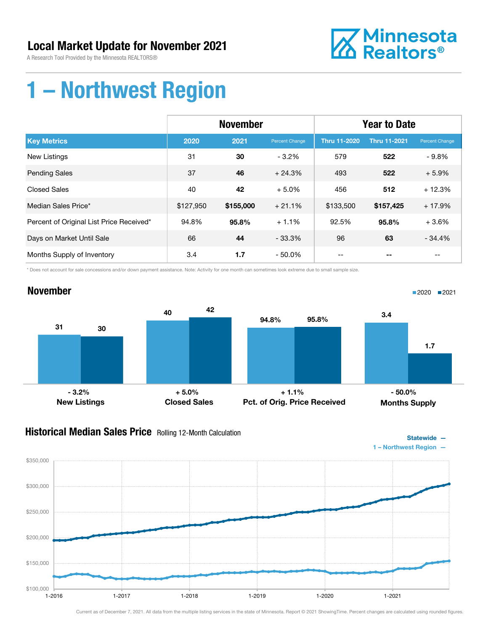### Local Market Update for November 2021

A Research Tool Provided by the Minnesota REALTORS®



## 1 – Northwest Region

|                                          | <b>November</b> |           |                | <b>Year to Date</b> |                     |                |
|------------------------------------------|-----------------|-----------|----------------|---------------------|---------------------|----------------|
| <b>Key Metrics</b>                       | 2020            | 2021      | Percent Change | <b>Thru 11-2020</b> | <b>Thru 11-2021</b> | Percent Change |
| New Listings                             | 31              | 30        | $-3.2%$        | 579                 | 522                 | $-9.8\%$       |
| <b>Pending Sales</b>                     | 37              | 46        | $+24.3%$       | 493                 | 522                 | $+5.9%$        |
| <b>Closed Sales</b>                      | 40              | 42        | $+5.0%$        | 456                 | 512                 | $+12.3%$       |
| Median Sales Price*                      | \$127,950       | \$155,000 | $+21.1%$       | \$133,500           | \$157,425           | $+17.9%$       |
| Percent of Original List Price Received* | 94.8%           | 95.8%     | $+1.1%$        | 92.5%               | 95.8%               | $+3.6%$        |
| Days on Market Until Sale                | 66              | 44        | $-33.3%$       | 96                  | 63                  | $-34.4%$       |
| Months Supply of Inventory               | 3.4             | 1.7       | - 50.0%        |                     |                     | --             |

\* Does not account for sale concessions and/or down payment assistance. Note: Activity for one month can sometimes look extreme due to small sample size.



### **Historical Median Sales Price** Rolling 12-Month Calculation



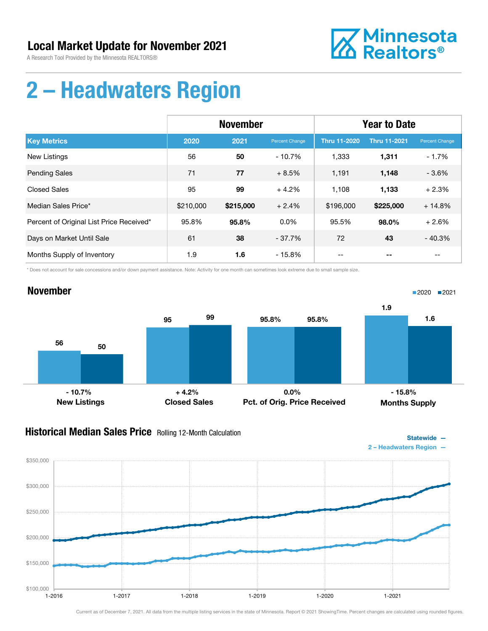

# 2 – Headwaters Region

|                                          | <b>November</b> |           |                | <b>Year to Date</b> |                     |                       |
|------------------------------------------|-----------------|-----------|----------------|---------------------|---------------------|-----------------------|
| <b>Key Metrics</b>                       | 2020            | 2021      | Percent Change | <b>Thru 11-2020</b> | <b>Thru 11-2021</b> | <b>Percent Change</b> |
| <b>New Listings</b>                      | 56              | 50        | $-10.7%$       | 1,333               | 1,311               | $-1.7%$               |
| <b>Pending Sales</b>                     | 71              | 77        | $+8.5%$        | 1,191               | 1,148               | $-3.6%$               |
| <b>Closed Sales</b>                      | 95              | 99        | $+4.2%$        | 1.108               | 1,133               | $+2.3%$               |
| Median Sales Price*                      | \$210,000       | \$215,000 | $+2.4%$        | \$196,000           | \$225,000           | $+14.8%$              |
| Percent of Original List Price Received* | 95.8%           | 95.8%     | $0.0\%$        | 95.5%               | 98.0%               | $+2.6%$               |
| Days on Market Until Sale                | 61              | 38        | $-37.7\%$      | 72                  | 43                  | $-40.3%$              |
| Months Supply of Inventory               | 1.9             | 1.6       | $-15.8%$       | --                  |                     | --                    |

\* Does not account for sale concessions and/or down payment assistance. Note: Activity for one month can sometimes look extreme due to small sample size.



### **Historical Median Sales Price** Rolling 12-Month Calculation



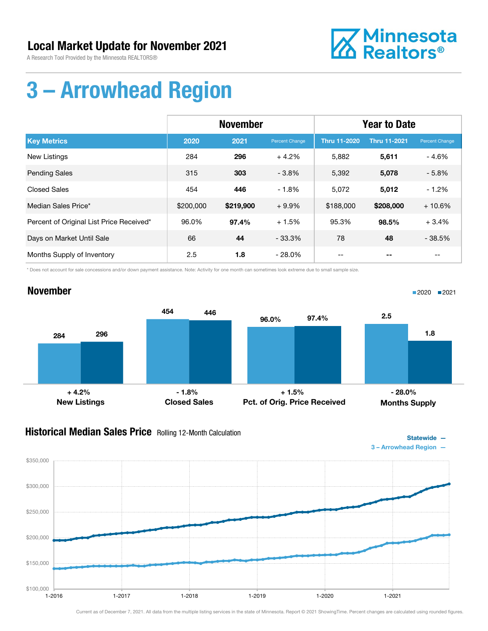

# 3 – Arrowhead Region

|                                          | <b>November</b> |           |                | <b>Year to Date</b> |                     |                |
|------------------------------------------|-----------------|-----------|----------------|---------------------|---------------------|----------------|
| <b>Key Metrics</b>                       | 2020            | 2021      | Percent Change | <b>Thru 11-2020</b> | <b>Thru 11-2021</b> | Percent Change |
| <b>New Listings</b>                      | 284             | 296       | $+4.2%$        | 5,882               | 5,611               | - 4.6%         |
| <b>Pending Sales</b>                     | 315             | 303       | $-3.8%$        | 5,392               | 5,078               | $-5.8%$        |
| <b>Closed Sales</b>                      | 454             | 446       | $-1.8%$        | 5,072               | 5,012               | $-1.2%$        |
| Median Sales Price*                      | \$200,000       | \$219,900 | $+9.9%$        | \$188,000           | \$208,000           | $+10.6%$       |
| Percent of Original List Price Received* | 96.0%           | 97.4%     | $+1.5%$        | 95.3%               | 98.5%               | $+3.4%$        |
| Days on Market Until Sale                | 66              | 44        | $-33.3\%$      | 78                  | 48                  | $-38.5%$       |
| Months Supply of Inventory               | 2.5             | 1.8       | $-28.0\%$      |                     |                     | $-$            |

\* Does not account for sale concessions and/or down payment assistance. Note: Activity for one month can sometimes look extreme due to small sample size.

### November



### **Historical Median Sales Price** Rolling 12-Month Calculation



■2020 ■2021

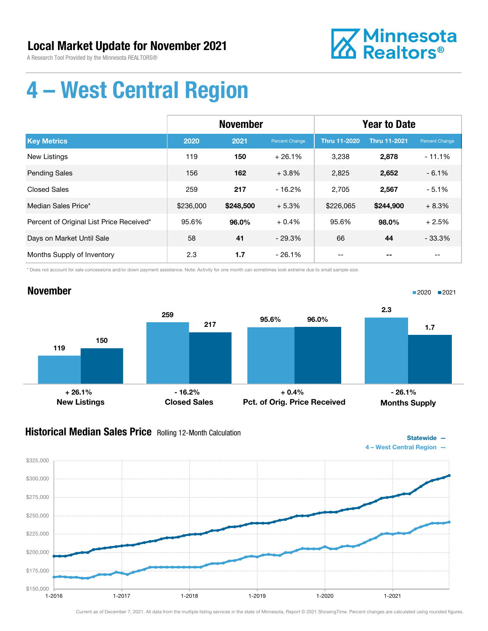

# 4 – West Central Region

|                                          | <b>November</b> |           |                | <b>Year to Date</b> |                     |                       |
|------------------------------------------|-----------------|-----------|----------------|---------------------|---------------------|-----------------------|
| <b>Key Metrics</b>                       | 2020            | 2021      | Percent Change | <b>Thru 11-2020</b> | <b>Thru 11-2021</b> | <b>Percent Change</b> |
| New Listings                             | 119             | 150       | $+26.1%$       | 3,238               | 2,878               | $-11.1%$              |
| <b>Pending Sales</b>                     | 156             | 162       | $+3.8\%$       | 2,825               | 2,652               | $-6.1%$               |
| <b>Closed Sales</b>                      | 259             | 217       | $-16.2%$       | 2,705               | 2,567               | $-5.1%$               |
| Median Sales Price*                      | \$236,000       | \$248,500 | $+5.3%$        | \$226,065           | \$244,900           | $+8.3%$               |
| Percent of Original List Price Received* | 95.6%           | 96.0%     | $+0.4%$        | 95.6%               | 98.0%               | $+2.5%$               |
| Days on Market Until Sale                | 58              | 41        | $-29.3%$       | 66                  | 44                  | $-33.3%$              |
| Months Supply of Inventory               | 2.3             | 1.7       | $-26.1%$       | --                  |                     | --                    |

\* Does not account for sale concessions and/or down payment assistance. Note: Activity for one month can sometimes look extreme due to small sample size.

#### November 119 259 150 217 New Listings Closed Sales 95.6% 96.0% Pct. of Orig. Price Received 2.3 1.7 Months Supply ■2020 ■2021 + 26.1% - 16.2% + 0.4% - 26.1%

### Historical Median Sales Price Rolling 12-Month Calculation

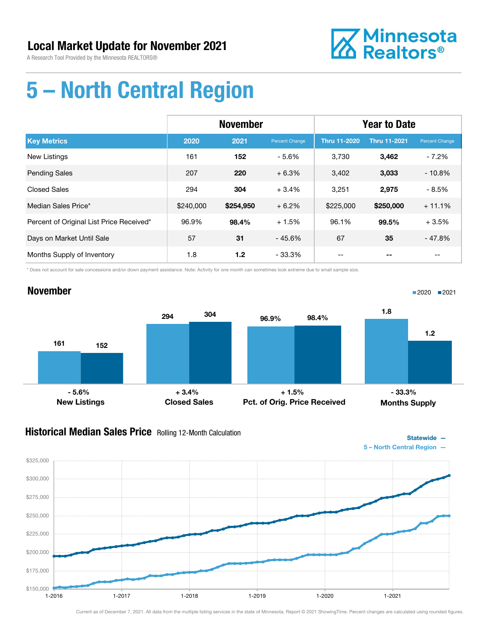November



# 5 – North Central Region

|                                          | <b>November</b> |           |                | <b>Year to Date</b> |                     |                |
|------------------------------------------|-----------------|-----------|----------------|---------------------|---------------------|----------------|
| <b>Key Metrics</b>                       | 2020            | 2021      | Percent Change | <b>Thru 11-2020</b> | <b>Thru 11-2021</b> | Percent Change |
| New Listings                             | 161             | 152       | - 5.6%         | 3,730               | 3,462               | $-7.2%$        |
| <b>Pending Sales</b>                     | 207             | 220       | $+6.3%$        | 3,402               | 3,033               | $-10.8%$       |
| <b>Closed Sales</b>                      | 294             | 304       | $+3.4%$        | 3,251               | 2,975               | $-8.5%$        |
| Median Sales Price*                      | \$240,000       | \$254,950 | $+6.2%$        | \$225,000           | \$250,000           | $+11.1%$       |
| Percent of Original List Price Received* | 96.9%           | 98.4%     | $+1.5%$        | 96.1%               | 99.5%               | $+3.5%$        |
| Days on Market Until Sale                | 57              | 31        | $-45.6%$       | 67                  | 35                  | $-47.8%$       |
| Months Supply of Inventory               | 1.8             | 1.2       | $-33.3\%$      |                     |                     |                |

\* Does not account for sale concessions and/or down payment assistance. Note: Activity for one month can sometimes look extreme due to small sample size.

### 161 294 152 304 New Listings Closed Sales 96.9% 98.4% Pct. of Orig. Price Received 1.8 1.2 Months Supply  $-5.6\%$  - 5.6% - 33.3% + 3.4% + 3.4% + 1.5% - 33.3%

### **Historical Median Sales Price** Rolling 12-Month Calculation



1-2016 1-2017 1-2018 1-2019 1-2020 1-2021

Statewide —

■2020 2021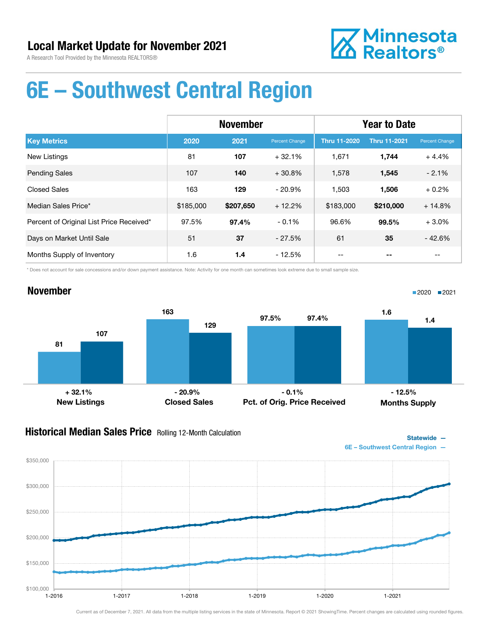

# 6E – Southwest Central Region

|                                          | <b>November</b> |           |                | <b>Year to Date</b> |                     |                       |
|------------------------------------------|-----------------|-----------|----------------|---------------------|---------------------|-----------------------|
| <b>Key Metrics</b>                       | 2020            | 2021      | Percent Change | <b>Thru 11-2020</b> | <b>Thru 11-2021</b> | <b>Percent Change</b> |
| <b>New Listings</b>                      | 81              | 107       | $+32.1%$       | 1,671               | 1,744               | $+4.4%$               |
| <b>Pending Sales</b>                     | 107             | 140       | $+30.8%$       | 1,578               | 1,545               | $-2.1%$               |
| <b>Closed Sales</b>                      | 163             | 129       | $-20.9\%$      | 1,503               | 1.506               | $+0.2%$               |
| Median Sales Price*                      | \$185,000       | \$207,650 | $+12.2%$       | \$183,000           | \$210,000           | $+14.8%$              |
| Percent of Original List Price Received* | 97.5%           | 97.4%     | $-0.1%$        | 96.6%               | 99.5%               | $+3.0%$               |
| Days on Market Until Sale                | 51              | 37        | $-27.5%$       | 61                  | 35                  | $-42.6%$              |
| Months Supply of Inventory               | 1.6             | 1.4       | $-12.5%$       |                     |                     |                       |

\* Does not account for sale concessions and/or down payment assistance. Note: Activity for one month can sometimes look extreme due to small sample size.

### November



### **Historical Median Sales Price** Rolling 12-Month Calculation



■2020 ■2021

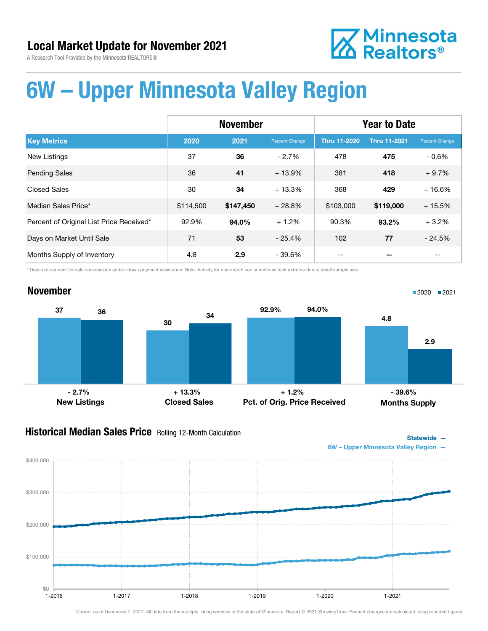

November



## 6W – Upper Minnesota Valley Region

|                                          | <b>November</b> |           |                | <b>Year to Date</b> |                     |                |
|------------------------------------------|-----------------|-----------|----------------|---------------------|---------------------|----------------|
| <b>Key Metrics</b>                       | 2020            | 2021      | Percent Change | <b>Thru 11-2020</b> | <b>Thru 11-2021</b> | Percent Change |
| <b>New Listings</b>                      | 37              | 36        | $-2.7%$        | 478                 | 475                 | $-0.6\%$       |
| <b>Pending Sales</b>                     | 36              | 41        | $+13.9%$       | 381                 | 418                 | $+9.7%$        |
| <b>Closed Sales</b>                      | 30              | 34        | $+13.3%$       | 368                 | 429                 | $+16.6%$       |
| Median Sales Price*                      | \$114,500       | \$147,450 | $+28.8%$       | \$103,000           | \$119,000           | $+15.5%$       |
| Percent of Original List Price Received* | 92.9%           | 94.0%     | $+1.2%$        | 90.3%               | 93.2%               | $+3.2%$        |
| Days on Market Until Sale                | 71              | 53        | $-25.4%$       | 102                 | 77                  | $-24.5%$       |
| Months Supply of Inventory               | 4.8             | 2.9       | - 39.6%        |                     |                     |                |

\* Does not account for sale concessions and/or down payment assistance. Note: Activity for one month can sometimes look extreme due to small sample size.

### 37 30 <sup>36</sup> <sup>34</sup> New Listings Closed Sales 92.9% 94.0% Pct. of Orig. Price Received 4.8 2.9 Months Supply  $-2.7\%$  - 2.7% - 39.6% + 13.3% + 1.2% - 39.6% - 39.6%

### **Historical Median Sales Price** Rolling 12-Month Calculation



1-2016 1-2017 1-2018 1-2019 1-2020 1-2021



Statewide —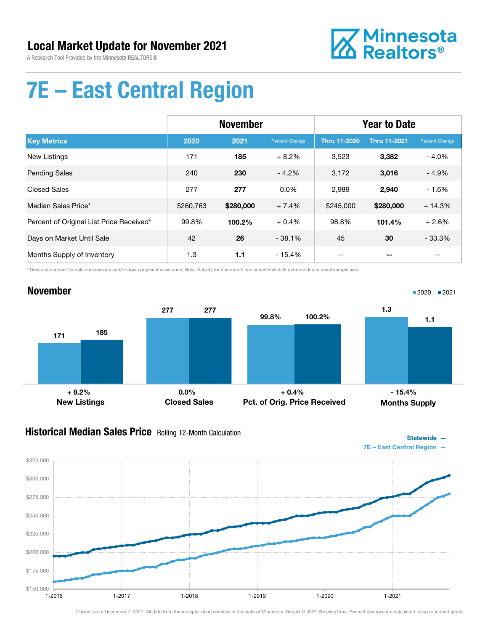

Statewide —

# 7E – East Central Region

|                                          | <b>November</b> |           |                       | <b>Year to Date</b> |                     |                |
|------------------------------------------|-----------------|-----------|-----------------------|---------------------|---------------------|----------------|
| <b>Key Metrics</b>                       | 2020            | 2021      | <b>Percent Change</b> | <b>Thru 11-2020</b> | <b>Thru 11-2021</b> | Percent Change |
| New Listings                             | 171             | 185       | $+8.2%$               | 3,523               | 3,382               | $-4.0%$        |
| <b>Pending Sales</b>                     | 240             | 230       | $-4.2%$               | 3,172               | 3,016               | $-4.9%$        |
| <b>Closed Sales</b>                      | 277             | 277       | $0.0\%$               | 2,989               | 2,940               | $-1.6%$        |
| Median Sales Price*                      | \$260,763       | \$280,000 | $+7.4%$               | \$245,000           | \$280,000           | $+14.3%$       |
| Percent of Original List Price Received* | 99.8%           | 100.2%    | $+0.4%$               | 98.8%               | 101.4%              | $+2.6%$        |
| Days on Market Until Sale                | 42              | 26        | $-38.1%$              | 45                  | 30                  | $-33.3%$       |
| Months Supply of Inventory               | 1.3             | 1.1       | $-15.4%$              |                     |                     | $- -$          |

\* Does not account for sale concessions and/or down payment assistance. Note: Activity for one month can sometimes look extreme due to small sample size.

#### November 171 277 185 277 New Listings Closed Sales 99.8% 100.2% Pct. of Orig. Price Received 1.3 1.1 Months Supply ■2020 2021  $+ 8.2\%$  - 15.4% - 15.4%

### **Historical Median Sales Price** Rolling 12-Month Calculation

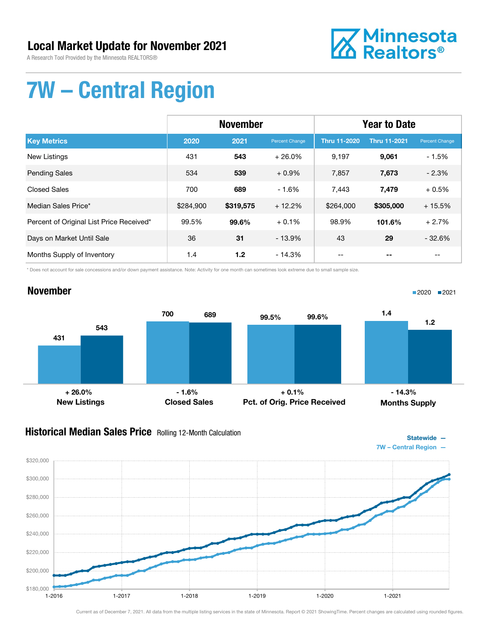### Local Market Update for November 2021

A Research Tool Provided by the Minnesota REALTORS®



# 7W – Central Region

|                                          | <b>November</b> |           |                | <b>Year to Date</b> |                     |                |
|------------------------------------------|-----------------|-----------|----------------|---------------------|---------------------|----------------|
| <b>Key Metrics</b>                       | 2020            | 2021      | Percent Change | <b>Thru 11-2020</b> | <b>Thru 11-2021</b> | Percent Change |
| <b>New Listings</b>                      | 431             | 543       | $+26.0%$       | 9,197               | 9,061               | $-1.5%$        |
| <b>Pending Sales</b>                     | 534             | 539       | $+0.9%$        | 7,857               | 7,673               | $-2.3%$        |
| <b>Closed Sales</b>                      | 700             | 689       | $-1.6%$        | 7,443               | 7,479               | $+0.5%$        |
| Median Sales Price*                      | \$284,900       | \$319,575 | $+12.2%$       | \$264,000           | \$305,000           | $+15.5%$       |
| Percent of Original List Price Received* | 99.5%           | 99.6%     | $+0.1%$        | 98.9%               | 101.6%              | $+2.7%$        |
| Days on Market Until Sale                | 36              | 31        | $-13.9\%$      | 43                  | 29                  | $-32.6%$       |
| Months Supply of Inventory               | 1.4             | 1.2       | $-14.3%$       |                     |                     |                |

\* Does not account for sale concessions and/or down payment assistance. Note: Activity for one month can sometimes look extreme due to small sample size.

## November

431



Pct. of Orig. Price Received

New Listings Closed Sales + 26.0% - 1.6% + 0.1% - 14.3%

### **Historical Median Sales Price** Rolling 12-Month Calculation



Months Supply

■2020 2021

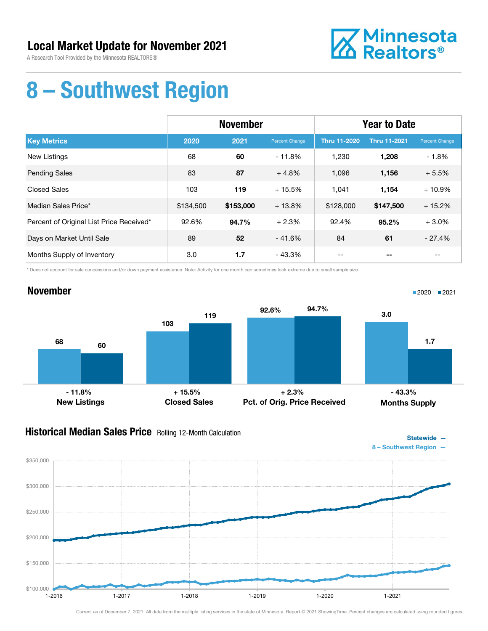

# 8 – Southwest Region

|                                          | <b>November</b> |           |                | <b>Year to Date</b> |                     |                |
|------------------------------------------|-----------------|-----------|----------------|---------------------|---------------------|----------------|
| <b>Key Metrics</b>                       | 2020            | 2021      | Percent Change | <b>Thru 11-2020</b> | <b>Thru 11-2021</b> | Percent Change |
| <b>New Listings</b>                      | 68              | 60        | $-11.8%$       | 1,230               | 1,208               | $-1.8%$        |
| <b>Pending Sales</b>                     | 83              | 87        | $+4.8%$        | 1,096               | 1,156               | $+5.5%$        |
| <b>Closed Sales</b>                      | 103             | 119       | $+15.5%$       | 1.041               | 1,154               | $+10.9%$       |
| Median Sales Price*                      | \$134,500       | \$153,000 | $+13.8%$       | \$128,000           | \$147,500           | $+15.2%$       |
| Percent of Original List Price Received* | 92.6%           | 94.7%     | $+2.3%$        | 92.4%               | 95.2%               | $+3.0%$        |
| Days on Market Until Sale                | 89              | 52        | $-41.6%$       | 84                  | 61                  | $-27.4%$       |
| Months Supply of Inventory               | 3.0             | 1.7       | - 43.3%        |                     |                     |                |

\* Does not account for sale concessions and/or down payment assistance. Note: Activity for one month can sometimes look extreme due to small sample size.



### **Historical Median Sales Price** Rolling 12-Month Calculation



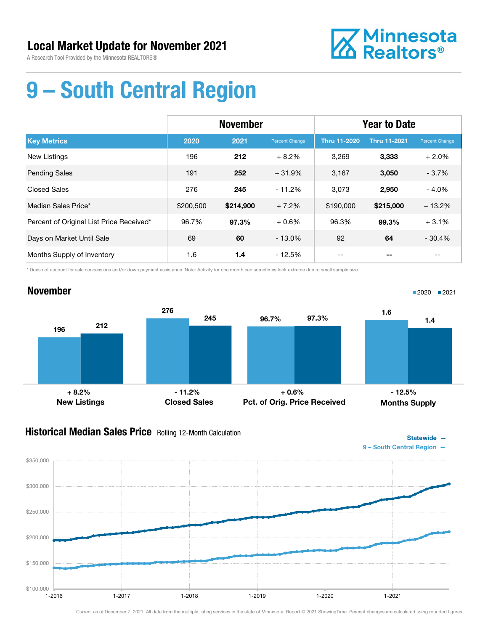

# 9 – South Central Region

|                                          | <b>November</b> |           |                | <b>Year to Date</b> |                     |                |
|------------------------------------------|-----------------|-----------|----------------|---------------------|---------------------|----------------|
| <b>Key Metrics</b>                       | 2020            | 2021      | Percent Change | <b>Thru 11-2020</b> | <b>Thru 11-2021</b> | Percent Change |
| <b>New Listings</b>                      | 196             | 212       | $+8.2%$        | 3.269               | 3,333               | $+2.0%$        |
| <b>Pending Sales</b>                     | 191             | 252       | $+31.9%$       | 3,167               | 3,050               | $-3.7%$        |
| <b>Closed Sales</b>                      | 276             | 245       | $-11.2%$       | 3,073               | 2,950               | $-4.0%$        |
| Median Sales Price*                      | \$200,500       | \$214,900 | $+7.2%$        | \$190,000           | \$215,000           | $+13.2%$       |
| Percent of Original List Price Received* | 96.7%           | 97.3%     | $+0.6%$        | 96.3%               | 99.3%               | $+3.1%$        |
| Days on Market Until Sale                | 69              | 60        | $-13.0\%$      | 92                  | 64                  | $-30.4%$       |
| Months Supply of Inventory               | 1.6             | 1.4       | $-12.5%$       |                     |                     |                |

\* Does not account for sale concessions and/or down payment assistance. Note: Activity for one month can sometimes look extreme due to small sample size.

### November



### **Historical Median Sales Price** Rolling 12-Month Calculation



Statewide —

■2020 2021

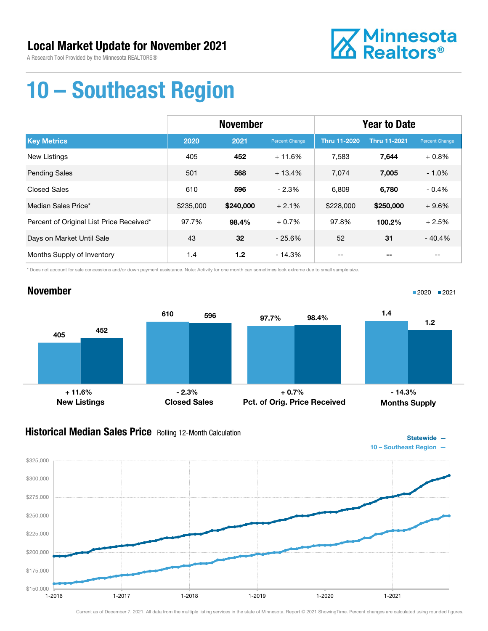

Statewide —

■2020 2021

# 10 – Southeast Region

|                                          | <b>November</b> |           |                | <b>Year to Date</b> |                     |                |
|------------------------------------------|-----------------|-----------|----------------|---------------------|---------------------|----------------|
| <b>Key Metrics</b>                       | 2020            | 2021      | Percent Change | <b>Thru 11-2020</b> | <b>Thru 11-2021</b> | Percent Change |
| New Listings                             | 405             | 452       | $+11.6%$       | 7,583               | 7,644               | $+0.8%$        |
| <b>Pending Sales</b>                     | 501             | 568       | $+13.4%$       | 7,074               | 7,005               | $-1.0%$        |
| <b>Closed Sales</b>                      | 610             | 596       | $-2.3%$        | 6,809               | 6,780               | $-0.4%$        |
| Median Sales Price*                      | \$235,000       | \$240,000 | $+2.1%$        | \$228,000           | \$250,000           | $+9.6%$        |
| Percent of Original List Price Received* | 97.7%           | 98.4%     | $+0.7%$        | 97.8%               | 100.2%              | $+2.5%$        |
| Days on Market Until Sale                | 43              | 32        | $-25.6%$       | 52                  | 31                  | $-40.4%$       |
| Months Supply of Inventory               | 1.4             | 1.2       | $-14.3%$       |                     |                     |                |

\* Does not account for sale concessions and/or down payment assistance. Note: Activity for one month can sometimes look extreme due to small sample size.

### November



### Historical Median Sales Price Rolling 12-Month Calculation